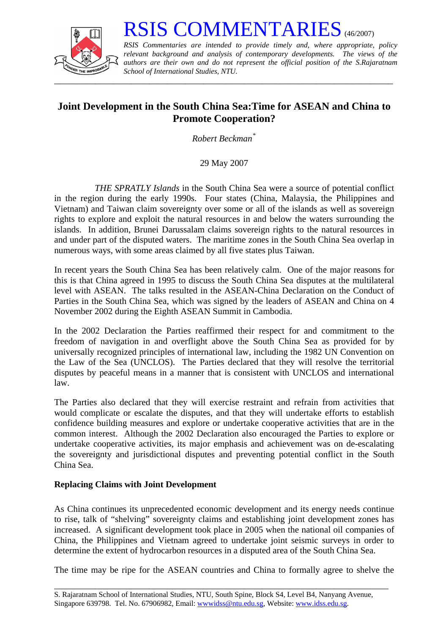

RSIS COMMENTARIES (46/2007)

*RSIS Commentaries are intended to provide timely and, where appropriate, policy relevant background and analysis of contemporary developments. The views of the authors are their own and do not represent the official position of the S.Rajaratnam School of International Studies, NTU.* 

## **Joint Development in the South China Sea:Time for ASEAN and China to Promote Cooperation?**

*Robert Beckman[\\*](#page-2-0)*

29 May 2007

 *THE SPRATLY Islands* in the South China Sea were a source of potential conflict in the region during the early 1990s. Four states (China, Malaysia, the Philippines and Vietnam) and Taiwan claim sovereignty over some or all of the islands as well as sovereign rights to explore and exploit the natural resources in and below the waters surrounding the islands. In addition, Brunei Darussalam claims sovereign rights to the natural resources in and under part of the disputed waters. The maritime zones in the South China Sea overlap in numerous ways, with some areas claimed by all five states plus Taiwan.

In recent years the South China Sea has been relatively calm. One of the major reasons for this is that China agreed in 1995 to discuss the South China Sea disputes at the multilateral level with ASEAN. The talks resulted in the ASEAN-China Declaration on the Conduct of Parties in the South China Sea, which was signed by the leaders of ASEAN and China on 4 November 2002 during the Eighth ASEAN Summit in Cambodia.

In the 2002 Declaration the Parties reaffirmed their respect for and commitment to the freedom of navigation in and overflight above the South China Sea as provided for by universally recognized principles of international law, including the 1982 UN Convention on the Law of the Sea (UNCLOS). The Parties declared that they will resolve the territorial disputes by peaceful means in a manner that is consistent with UNCLOS and international law.

The Parties also declared that they will exercise restraint and refrain from activities that would complicate or escalate the disputes, and that they will undertake efforts to establish confidence building measures and explore or undertake cooperative activities that are in the common interest. Although the 2002 Declaration also encouraged the Parties to explore or undertake cooperative activities, its major emphasis and achievement was on de-escalating the sovereignty and jurisdictional disputes and preventing potential conflict in the South China Sea.

## **Replacing Claims with Joint Development**

As China continues its unprecedented economic development and its energy needs continue to rise, talk of "shelving" sovereignty claims and establishing joint development zones has increased. A significant development took place in 2005 when the national oil companies of China, the Philippines and Vietnam agreed to undertake joint seismic surveys in order to determine the extent of hydrocarbon resources in a disputed area of the South China Sea.

The time may be ripe for the ASEAN countries and China to formally agree to shelve the

\_\_\_\_\_\_\_\_\_\_\_\_\_\_\_\_\_\_\_\_\_\_\_\_\_\_\_\_\_\_\_\_\_\_\_\_\_\_\_\_\_\_\_\_\_\_\_\_\_\_\_\_\_\_\_\_\_\_\_\_\_\_\_\_\_\_\_\_\_\_\_\_\_\_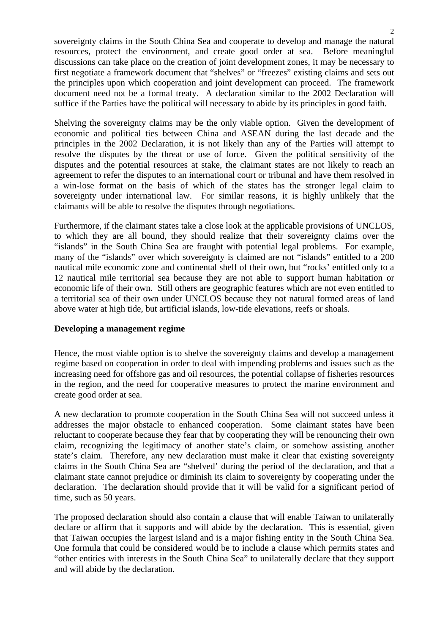sovereignty claims in the South China Sea and cooperate to develop and manage the natural resources, protect the environment, and create good order at sea. Before meaningful discussions can take place on the creation of joint development zones, it may be necessary to first negotiate a framework document that "shelves" or "freezes" existing claims and sets out the principles upon which cooperation and joint development can proceed. The framework document need not be a formal treaty. A declaration similar to the 2002 Declaration will suffice if the Parties have the political will necessary to abide by its principles in good faith.

Shelving the sovereignty claims may be the only viable option. Given the development of economic and political ties between China and ASEAN during the last decade and the principles in the 2002 Declaration, it is not likely than any of the Parties will attempt to resolve the disputes by the threat or use of force. Given the political sensitivity of the disputes and the potential resources at stake, the claimant states are not likely to reach an agreement to refer the disputes to an international court or tribunal and have them resolved in a win-lose format on the basis of which of the states has the stronger legal claim to sovereignty under international law. For similar reasons, it is highly unlikely that the claimants will be able to resolve the disputes through negotiations.

Furthermore, if the claimant states take a close look at the applicable provisions of UNCLOS, to which they are all bound, they should realize that their sovereignty claims over the "islands" in the South China Sea are fraught with potential legal problems. For example, many of the "islands" over which sovereignty is claimed are not "islands" entitled to a 200 nautical mile economic zone and continental shelf of their own, but "rocks' entitled only to a 12 nautical mile territorial sea because they are not able to support human habitation or economic life of their own. Still others are geographic features which are not even entitled to a territorial sea of their own under UNCLOS because they not natural formed areas of land above water at high tide, but artificial islands, low-tide elevations, reefs or shoals.

## **Developing a management regime**

Hence, the most viable option is to shelve the sovereignty claims and develop a management regime based on cooperation in order to deal with impending problems and issues such as the increasing need for offshore gas and oil resources, the potential collapse of fisheries resources in the region, and the need for cooperative measures to protect the marine environment and create good order at sea.

A new declaration to promote cooperation in the South China Sea will not succeed unless it addresses the major obstacle to enhanced cooperation. Some claimant states have been reluctant to cooperate because they fear that by cooperating they will be renouncing their own claim, recognizing the legitimacy of another state's claim, or somehow assisting another state's claim. Therefore, any new declaration must make it clear that existing sovereignty claims in the South China Sea are "shelved' during the period of the declaration, and that a claimant state cannot prejudice or diminish its claim to sovereignty by cooperating under the declaration. The declaration should provide that it will be valid for a significant period of time, such as 50 years.

The proposed declaration should also contain a clause that will enable Taiwan to unilaterally declare or affirm that it supports and will abide by the declaration. This is essential, given that Taiwan occupies the largest island and is a major fishing entity in the South China Sea. One formula that could be considered would be to include a clause which permits states and "other entities with interests in the South China Sea" to unilaterally declare that they support and will abide by the declaration.